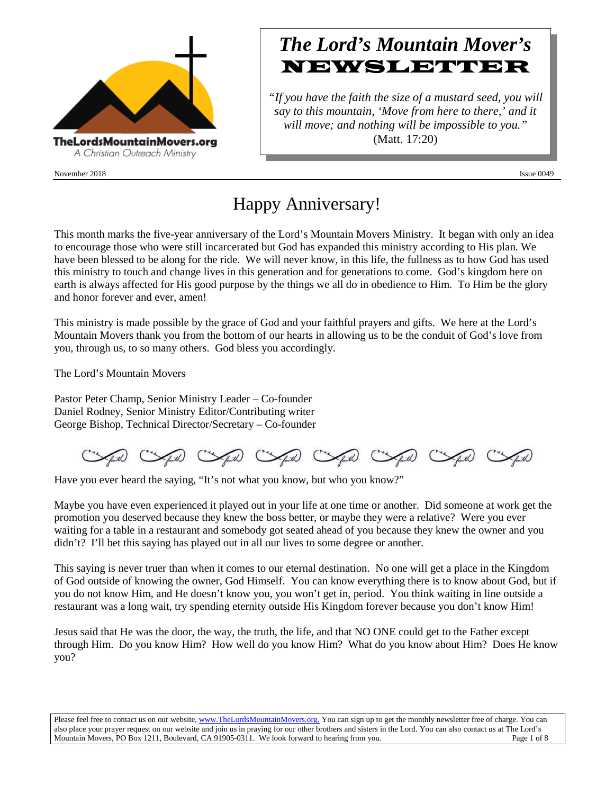

November 2018 **Issue 0049** Issue 0049

# *The Lord's Mountain Mover's* **NEWSLETTER**

*"If you have the faith the size of a mustard seed, you will say to this mountain, 'Move from here to there,' and it will move; and nothing will be impossible to you."* (Matt. 17:20)

# Happy Anniversary!

This month marks the five-year anniversary of the Lord's Mountain Movers Ministry. It began with only an idea to encourage those who were still incarcerated but God has expanded this ministry according to His plan. We have been blessed to be along for the ride. We will never know, in this life, the fullness as to how God has used this ministry to touch and change lives in this generation and for generations to come. God's kingdom here on earth is always affected for His good purpose by the things we all do in obedience to Him. To Him be the glory and honor forever and ever, amen!

This ministry is made possible by the grace of God and your faithful prayers and gifts. We here at the Lord's Mountain Movers thank you from the bottom of our hearts in allowing us to be the conduit of God's love from you, through us, to so many others. God bless you accordingly.

The Lord's Mountain Movers

Pastor Peter Champ, Senior Ministry Leader – Co-founder Daniel Rodney, Senior Ministry Editor/Contributing writer George Bishop, Technical Director/Secretary – Co-founder

(will compute Computer Computer Computer)

Have you ever heard the saying, "It's not what you know, but who you know?"

Maybe you have even experienced it played out in your life at one time or another. Did someone at work get the promotion you deserved because they knew the boss better, or maybe they were a relative? Were you ever waiting for a table in a restaurant and somebody got seated ahead of you because they knew the owner and you didn't? I'll bet this saying has played out in all our lives to some degree or another.

This saying is never truer than when it comes to our eternal destination. No one will get a place in the Kingdom of God outside of knowing the owner, God Himself. You can know everything there is to know about God, but if you do not know Him, and He doesn't know you, you won't get in, period. You think waiting in line outside a restaurant was a long wait, try spending eternity outside His Kingdom forever because you don't know Him!

Jesus said that He was the door, the way, the truth, the life, and that NO ONE could get to the Father except through Him. Do you know Him? How well do you know Him? What do you know about Him? Does He know you?

Please feel free to contact us on our website, ww[w.TheLordsMountainMovers.o](http://www.thelordsmountainmovers.org/)rg. You can sign up to get the monthly newsletter free of charge. You can also place your prayer request on our website and join us in praying for our other brothers and sisters in the Lord. You can also contact us at The Lord's Mountain Movers, PO Box 1211, Boulevard, CA 91905-0311. We look forward to hearing from you. Page 1 of 8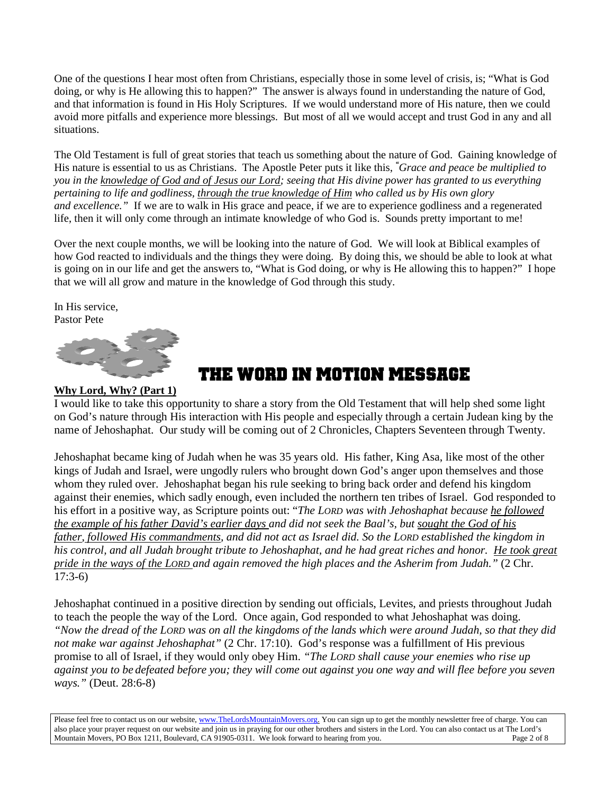One of the questions I hear most often from Christians, especially those in some level of crisis, is; "What is God doing, or why is He allowing this to happen?" The answer is always found in understanding the nature of God, and that information is found in His Holy Scriptures. If we would understand more of His nature, then we could avoid more pitfalls and experience more blessings. But most of all we would accept and trust God in any and all situations.

The Old Testament is full of great stories that teach us something about the nature of God. Gaining knowledge of His nature is essential to us as Christians. The Apostle Peter puts it like this, *" Grace and peace be multiplied to you in the knowledge of God and of Jesus our Lord; seeing that His divine power has granted to us everything pertaining to life and godliness, through the true knowledge of Him who called us by His own glory and excellence."* If we are to walk in His grace and peace, if we are to experience godliness and a regenerated life, then it will only come through an intimate knowledge of who God is. Sounds pretty important to me!

Over the next couple months, we will be looking into the nature of God. We will look at Biblical examples of how God reacted to individuals and the things they were doing. By doing this, we should be able to look at what is going on in our life and get the answers to, "What is God doing, or why is He allowing this to happen?" I hope that we will all grow and mature in the knowledge of God through this study.

In His service, Pastor Pete



# **THE WORD IN MOTION message**

#### **Why Lord, Why? (Part 1)**

I would like to take this opportunity to share a story from the Old Testament that will help shed some light on God's nature through His interaction with His people and especially through a certain Judean king by the name of Jehoshaphat. Our study will be coming out of 2 Chronicles, Chapters Seventeen through Twenty.

Jehoshaphat became king of Judah when he was 35 years old. His father, King Asa, like most of the other kings of Judah and Israel, were ungodly rulers who brought down God's anger upon themselves and those whom they ruled over. Jehoshaphat began his rule seeking to bring back order and defend his kingdom against their enemies, which sadly enough, even included the northern ten tribes of Israel. God responded to his effort in a positive way, as Scripture points out: "*The LORD was with Jehoshaphat because he followed the example of his father David's earlier days and did not seek the Baal's, but sought the God of his father, followed His commandments, and did not act as Israel did. So the LORD established the kingdom in his control, and all Judah brought tribute to Jehoshaphat, and he had great riches and honor. He took great pride in the ways of the LORD and again removed the high places and the Asherim from Judah."* (2 Chr. 17:3-6)

Jehoshaphat continued in a positive direction by sending out officials, Levites, and priests throughout Judah to teach the people the way of the Lord. Once again, God responded to what Jehoshaphat was doing. *"Now the dread of the LORD was on all the kingdoms of the lands which were around Judah, so that they did not make war against Jehoshaphat"* (2 Chr. 17:10). God's response was a fulfillment of His previous promise to all of Israel, if they would only obey Him. *"The LORD shall cause your enemies who rise up against you to be defeated before you; they will come out against you one way and will flee before you seven ways."* (Deut. 28:6-8)

Please feel free to contact us on our website, ww[w.TheLordsMountainMovers.o](http://www.thelordsmountainmovers.org/)rg. You can sign up to get the monthly newsletter free of charge. You can also place your prayer request on our website and join us in praying for our other brothers and sisters in the Lord. You can also contact us at The Lord's Mountain Movers, PO Box 1211, Boulevard, CA 91905-0311. We look forward to hearing from you. Page 2 of 8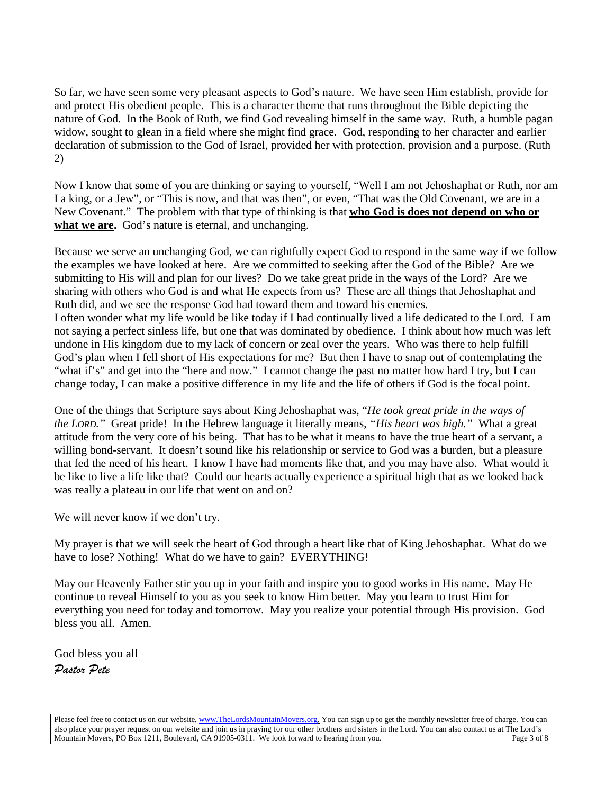So far, we have seen some very pleasant aspects to God's nature. We have seen Him establish, provide for and protect His obedient people. This is a character theme that runs throughout the Bible depicting the nature of God. In the Book of Ruth, we find God revealing himself in the same way. Ruth, a humble pagan widow, sought to glean in a field where she might find grace. God, responding to her character and earlier declaration of submission to the God of Israel, provided her with protection, provision and a purpose. (Ruth 2)

Now I know that some of you are thinking or saying to yourself, "Well I am not Jehoshaphat or Ruth, nor am I a king, or a Jew", or "This is now, and that was then", or even, "That was the Old Covenant, we are in a New Covenant." The problem with that type of thinking is that **who God is does not depend on who or what we are.** God's nature is eternal, and unchanging.

Because we serve an unchanging God, we can rightfully expect God to respond in the same way if we follow the examples we have looked at here. Are we committed to seeking after the God of the Bible? Are we submitting to His will and plan for our lives? Do we take great pride in the ways of the Lord? Are we sharing with others who God is and what He expects from us? These are all things that Jehoshaphat and Ruth did, and we see the response God had toward them and toward his enemies. I often wonder what my life would be like today if I had continually lived a life dedicated to the Lord. I am not saying a perfect sinless life, but one that was dominated by obedience. I think about how much was left undone in His kingdom due to my lack of concern or zeal over the years. Who was there to help fulfill God's plan when I fell short of His expectations for me? But then I have to snap out of contemplating the

"what if's" and get into the "here and now." I cannot change the past no matter how hard I try, but I can change today, I can make a positive difference in my life and the life of others if God is the focal point.

One of the things that Scripture says about King Jehoshaphat was, "*He took great pride in the ways of the LORD."* Great pride! In the Hebrew language it literally means, *"His heart was high."* What a great attitude from the very core of his being. That has to be what it means to have the true heart of a servant, a willing bond-servant. It doesn't sound like his relationship or service to God was a burden, but a pleasure that fed the need of his heart. I know I have had moments like that, and you may have also. What would it be like to live a life like that? Could our hearts actually experience a spiritual high that as we looked back was really a plateau in our life that went on and on?

We will never know if we don't try.

My prayer is that we will seek the heart of God through a heart like that of King Jehoshaphat. What do we have to lose? Nothing! What do we have to gain? EVERYTHING!

May our Heavenly Father stir you up in your faith and inspire you to good works in His name. May He continue to reveal Himself to you as you seek to know Him better. May you learn to trust Him for everything you need for today and tomorrow. May you realize your potential through His provision. God bless you all. Amen.

God bless you all *Pastor Pete*

Please feel free to contact us on our website, ww[w.TheLordsMountainMovers.o](http://www.thelordsmountainmovers.org/)rg. You can sign up to get the monthly newsletter free of charge. You can also place your prayer request on our website and join us in praying for our other brothers and sisters in the Lord. You can also contact us at The Lord's Mountain Movers, PO Box 1211, Boulevard, CA 91905-0311. We look forward to hearing from you. Page 3 of 8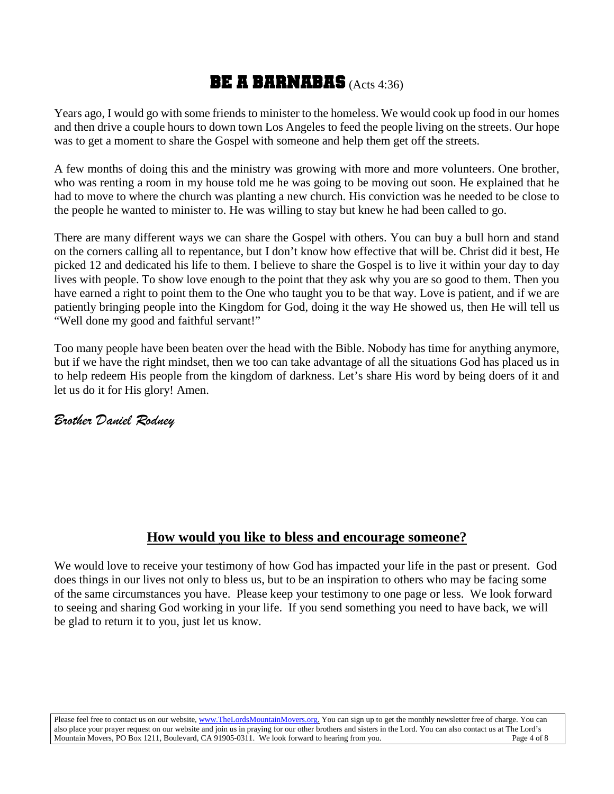## **BE A BARNABAS** (Acts 4:36)

Years ago, I would go with some friends to minister to the homeless. We would cook up food in our homes and then drive a couple hours to down town Los Angeles to feed the people living on the streets. Our hope was to get a moment to share the Gospel with someone and help them get off the streets.

A few months of doing this and the ministry was growing with more and more volunteers. One brother, who was renting a room in my house told me he was going to be moving out soon. He explained that he had to move to where the church was planting a new church. His conviction was he needed to be close to the people he wanted to minister to. He was willing to stay but knew he had been called to go.

There are many different ways we can share the Gospel with others. You can buy a bull horn and stand on the corners calling all to repentance, but I don't know how effective that will be. Christ did it best, He picked 12 and dedicated his life to them. I believe to share the Gospel is to live it within your day to day lives with people. To show love enough to the point that they ask why you are so good to them. Then you have earned a right to point them to the One who taught you to be that way. Love is patient, and if we are patiently bringing people into the Kingdom for God, doing it the way He showed us, then He will tell us "Well done my good and faithful servant!"

Too many people have been beaten over the head with the Bible. Nobody has time for anything anymore, but if we have the right mindset, then we too can take advantage of all the situations God has placed us in to help redeem His people from the kingdom of darkness. Let's share His word by being doers of it and let us do it for His glory! Amen.

## *Brother Daniel Rodney*

## **How would you like to bless and encourage someone?**

We would love to receive your testimony of how God has impacted your life in the past or present. God does things in our lives not only to bless us, but to be an inspiration to others who may be facing some of the same circumstances you have. Please keep your testimony to one page or less. We look forward to seeing and sharing God working in your life. If you send something you need to have back, we will be glad to return it to you, just let us know.

Please feel free to contact us on our website, ww[w.TheLordsMountainMovers.o](http://www.thelordsmountainmovers.org/)rg. You can sign up to get the monthly newsletter free of charge. You can also place your prayer request on our website and join us in praying for our other brothers and sisters in the Lord. You can also contact us at The Lord's Mountain Movers, PO Box 1211, Boulevard, CA 91905-0311. We look forward to hearing from you.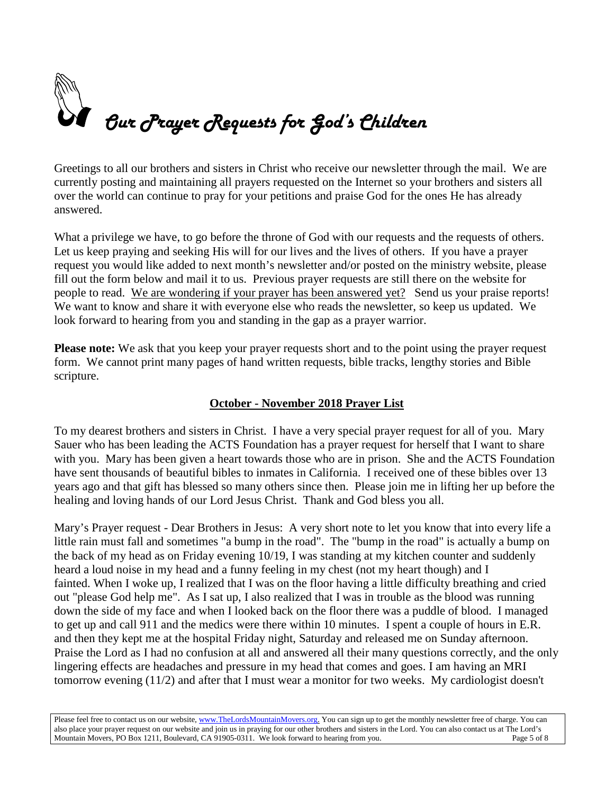

Greetings to all our brothers and sisters in Christ who receive our newsletter through the mail. We are currently posting and maintaining all prayers requested on the Internet so your brothers and sisters all over the world can continue to pray for your petitions and praise God for the ones He has already answered.

What a privilege we have, to go before the throne of God with our requests and the requests of others. Let us keep praying and seeking His will for our lives and the lives of others. If you have a prayer request you would like added to next month's newsletter and/or posted on the ministry website, please fill out the form below and mail it to us. Previous prayer requests are still there on the website for people to read. We are wondering if your prayer has been answered yet? Send us your praise reports! We want to know and share it with everyone else who reads the newsletter, so keep us updated. We look forward to hearing from you and standing in the gap as a prayer warrior.

**Please note:** We ask that you keep your prayer requests short and to the point using the prayer request form. We cannot print many pages of hand written requests, bible tracks, lengthy stories and Bible scripture.

### **October - November 2018 Prayer List**

To my dearest brothers and sisters in Christ. I have a very special prayer request for all of you. Mary Sauer who has been leading the ACTS Foundation has a prayer request for herself that I want to share with you. Mary has been given a heart towards those who are in prison. She and the ACTS Foundation have sent thousands of beautiful bibles to inmates in California. I received one of these bibles over 13 years ago and that gift has blessed so many others since then. Please join me in lifting her up before the healing and loving hands of our Lord Jesus Christ. Thank and God bless you all.

Mary's Prayer request - Dear Brothers in Jesus: A very short note to let you know that into every life a little rain must fall and sometimes "a bump in the road". The "bump in the road" is actually a bump on the back of my head as on Friday evening 10/19, I was standing at my kitchen counter and suddenly heard a loud noise in my head and a funny feeling in my chest (not my heart though) and I fainted. When I woke up, I realized that I was on the floor having a little difficulty breathing and cried out "please God help me". As I sat up, I also realized that I was in trouble as the blood was running down the side of my face and when I looked back on the floor there was a puddle of blood. I managed to get up and call 911 and the medics were there within 10 minutes. I spent a couple of hours in E.R. and then they kept me at the hospital Friday night, Saturday and released me on Sunday afternoon. Praise the Lord as I had no confusion at all and answered all their many questions correctly, and the only lingering effects are headaches and pressure in my head that comes and goes. I am having an MRI tomorrow evening (11/2) and after that I must wear a monitor for two weeks. My cardiologist doesn't

Please feel free to contact us on our website, ww[w.TheLordsMountainMovers.o](http://www.thelordsmountainmovers.org/)rg. You can sign up to get the monthly newsletter free of charge. You can also place your prayer request on our website and join us in praying for our other brothers and sisters in the Lord. You can also contact us at The Lord's Mountain Movers, PO Box 1211, Boulevard, CA 91905-0311. We look forward to hearing from you. Page 5 of 8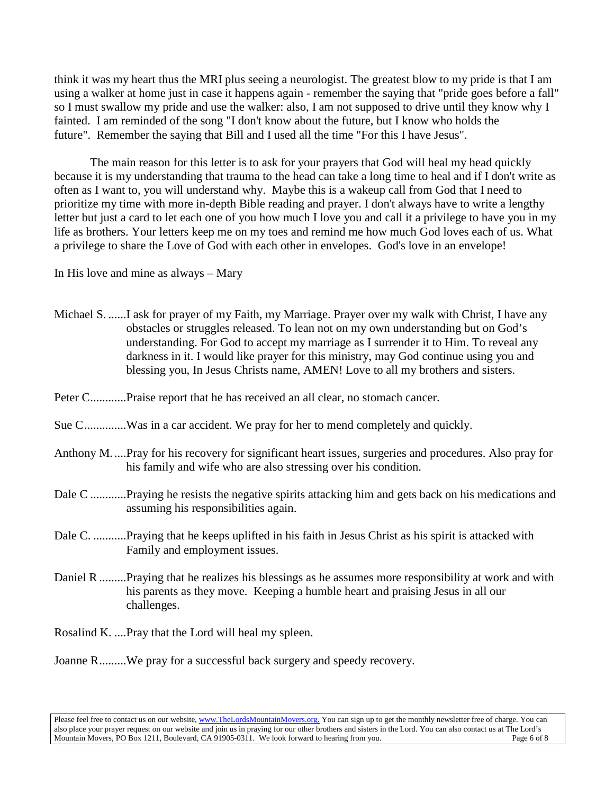think it was my heart thus the MRI plus seeing a neurologist. The greatest blow to my pride is that I am using a walker at home just in case it happens again - remember the saying that "pride goes before a fall" so I must swallow my pride and use the walker: also, I am not supposed to drive until they know why I fainted. I am reminded of the song "I don't know about the future, but I know who holds the future". Remember the saying that Bill and I used all the time "For this I have Jesus".

 The main reason for this letter is to ask for your prayers that God will heal my head quickly because it is my understanding that trauma to the head can take a long time to heal and if I don't write as often as I want to, you will understand why. Maybe this is a wakeup call from God that I need to prioritize my time with more in-depth Bible reading and prayer. I don't always have to write a lengthy letter but just a card to let each one of you how much I love you and call it a privilege to have you in my life as brothers. Your letters keep me on my toes and remind me how much God loves each of us. What a privilege to share the Love of God with each other in envelopes. God's love in an envelope!

In His love and mine as always – Mary

| Michael S. I ask for prayer of my Faith, my Marriage. Prayer over my walk with Christ, I have any<br>obstacles or struggles released. To lean not on my own understanding but on God's<br>understanding. For God to accept my marriage as I surrender it to Him. To reveal any<br>darkness in it. I would like prayer for this ministry, may God continue using you and<br>blessing you, In Jesus Christs name, AMEN! Love to all my brothers and sisters. |
|------------------------------------------------------------------------------------------------------------------------------------------------------------------------------------------------------------------------------------------------------------------------------------------------------------------------------------------------------------------------------------------------------------------------------------------------------------|
| Peter CPraise report that he has received an all clear, no stomach cancer.                                                                                                                                                                                                                                                                                                                                                                                 |
| Sue CWas in a car accident. We pray for her to mend completely and quickly.                                                                                                                                                                                                                                                                                                                                                                                |
| Anthony M.  Pray for his recovery for significant heart issues, surgeries and procedures. Also pray for<br>his family and wife who are also stressing over his condition.                                                                                                                                                                                                                                                                                  |
| Dale C Praying he resists the negative spirits attacking him and gets back on his medications and<br>assuming his responsibilities again.                                                                                                                                                                                                                                                                                                                  |
| Dale C. Praying that he keeps uplifted in his faith in Jesus Christ as his spirit is attacked with<br>Family and employment issues.                                                                                                                                                                                                                                                                                                                        |
| Daniel R  Praying that he realizes his blessings as he assumes more responsibility at work and with<br>his parents as they move. Keeping a humble heart and praising Jesus in all our<br>challenges.                                                                                                                                                                                                                                                       |
| Rosalind K.  Pray that the Lord will heal my spleen.                                                                                                                                                                                                                                                                                                                                                                                                       |
| Joanne RWe pray for a successful back surgery and speedy recovery.                                                                                                                                                                                                                                                                                                                                                                                         |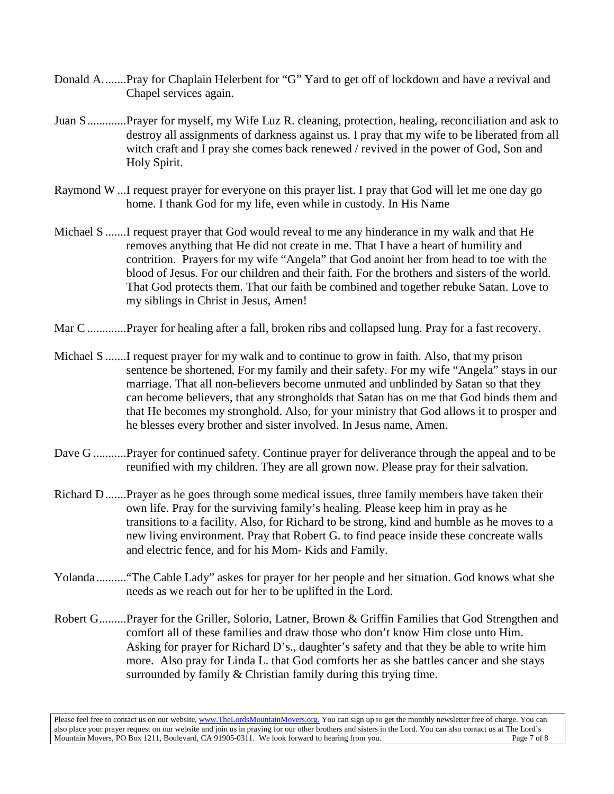- Donald A........Pray for Chaplain Helerbent for "G" Yard to get off of lockdown and have a revival and Chapel services again.
- Juan S.............Prayer for myself, my Wife Luz R. cleaning, protection, healing, reconciliation and ask to destroy all assignments of darkness against us. I pray that my wife to be liberated from all witch craft and I pray she comes back renewed / revived in the power of God, Son and Holy Spirit.
- Raymond W ...I request prayer for everyone on this prayer list. I pray that God will let me one day go home. I thank God for my life, even while in custody. In His Name
- Michael S .......I request prayer that God would reveal to me any hinderance in my walk and that He removes anything that He did not create in me. That I have a heart of humility and contrition. Prayers for my wife "Angela" that God anoint her from head to toe with the blood of Jesus. For our children and their faith. For the brothers and sisters of the world. That God protects them. That our faith be combined and together rebuke Satan. Love to my siblings in Christ in Jesus, Amen!
- Mar C .............Prayer for healing after a fall, broken ribs and collapsed lung. Pray for a fast recovery.
- Michael S .......I request prayer for my walk and to continue to grow in faith. Also, that my prison sentence be shortened, For my family and their safety. For my wife "Angela" stays in our marriage. That all non-believers become unmuted and unblinded by Satan so that they can become believers, that any strongholds that Satan has on me that God binds them and that He becomes my stronghold. Also, for your ministry that God allows it to prosper and he blesses every brother and sister involved. In Jesus name, Amen.
- Dave G ...........Prayer for continued safety. Continue prayer for deliverance through the appeal and to be reunified with my children. They are all grown now. Please pray for their salvation.
- Richard D.......Prayer as he goes through some medical issues, three family members have taken their own life. Pray for the surviving family's healing. Please keep him in pray as he transitions to a facility. Also, for Richard to be strong, kind and humble as he moves to a new living environment. Pray that Robert G. to find peace inside these concreate walls and electric fence, and for his Mom- Kids and Family.
- Yolanda .........."The Cable Lady" askes for prayer for her people and her situation. God knows what she needs as we reach out for her to be uplifted in the Lord.
- Robert G.........Prayer for the Griller, Solorio, Latner, Brown & Griffin Families that God Strengthen and comfort all of these families and draw those who don't know Him close unto Him. Asking for prayer for Richard D's., daughter's safety and that they be able to write him more. Also pray for Linda L. that God comforts her as she battles cancer and she stays surrounded by family & Christian family during this trying time.

Please feel free to contact us on our website, ww[w.TheLordsMountainMovers.o](http://www.thelordsmountainmovers.org/)rg. You can sign up to get the monthly newsletter free of charge. You can also place your prayer request on our website and join us in praying for our other brothers and sisters in the Lord. You can also contact us at The Lord's Mountain Movers, PO Box 1211, Boulevard, CA 91905-0311. We look forward to hearing from you.